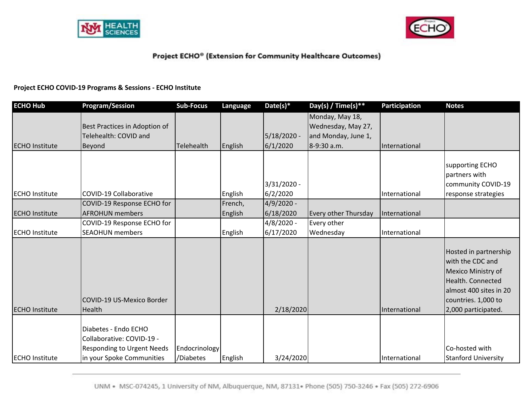



#### **Project ECHO COVID‐19 Programs & Sessions ‐ ECHO Institute**

| <b>ECHO Hub</b>       | <b>Program/Session</b>                                                                                              | <b>Sub-Focus</b>           | Language | Date(s)*    | Day(s) / Time(s) **                   | <b>Participation</b> | <b>Notes</b>                                                                                                                                                 |
|-----------------------|---------------------------------------------------------------------------------------------------------------------|----------------------------|----------|-------------|---------------------------------------|----------------------|--------------------------------------------------------------------------------------------------------------------------------------------------------------|
|                       | Best Practices in Adoption of                                                                                       |                            |          |             | Monday, May 18,<br>Wednesday, May 27, |                      |                                                                                                                                                              |
|                       | Telehealth: COVID and                                                                                               |                            |          | 5/18/2020 - | and Monday, June 1,                   |                      |                                                                                                                                                              |
| <b>ECHO</b> Institute | Beyond                                                                                                              | <b>Telehealth</b>          | English  | 6/1/2020    | 8-9:30 a.m.                           | International        |                                                                                                                                                              |
|                       |                                                                                                                     |                            |          |             |                                       |                      |                                                                                                                                                              |
|                       |                                                                                                                     |                            |          |             |                                       |                      | supporting ECHO                                                                                                                                              |
|                       |                                                                                                                     |                            |          |             |                                       |                      | partners with                                                                                                                                                |
|                       |                                                                                                                     |                            |          | 3/31/2020 - |                                       |                      | community COVID-19                                                                                                                                           |
| <b>ECHO</b> Institute | <b>COVID-19 Collaborative</b>                                                                                       |                            | English  | 6/2/2020    |                                       | International        | response strategies                                                                                                                                          |
|                       | COVID-19 Response ECHO for                                                                                          |                            | French,  | 4/9/2020 -  |                                       |                      |                                                                                                                                                              |
| <b>ECHO Institute</b> | <b>AFROHUN members</b>                                                                                              |                            | English  | 6/18/2020   | Every other Thursday                  | International        |                                                                                                                                                              |
|                       | COVID-19 Response ECHO for                                                                                          |                            |          | 4/8/2020 -  | Every other                           |                      |                                                                                                                                                              |
| <b>ECHO</b> Institute | <b>SEAOHUN</b> members                                                                                              |                            | English  | 6/17/2020   | Wednesday                             | International        |                                                                                                                                                              |
| <b>ECHO Institute</b> | COVID-19 US-Mexico Border<br>Health                                                                                 |                            |          | 2/18/2020   |                                       | International        | Hosted in partnership<br>with the CDC and<br>Mexico Ministry of<br>Health. Connected<br>almost 400 sites in 20<br>countries. 1,000 to<br>2,000 participated. |
| <b>ECHO</b> Institute | Diabetes - Endo ECHO<br>Collaborative: COVID-19 -<br><b>Responding to Urgent Needs</b><br>in your Spoke Communities | Endocrinology<br>/Diabetes | English  | 3/24/2020   |                                       | International        | Co-hosted with<br><b>Stanford University</b>                                                                                                                 |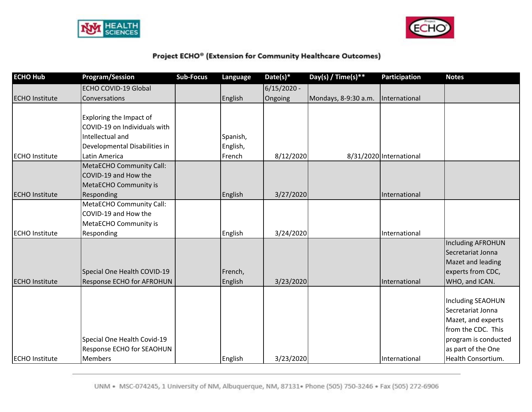



| <b>ECHO Hub</b>       | <b>Program/Session</b>          | <b>Sub-Focus</b> | Language | Date(s)*      | Day(s) / Time(s)**   | Participation           | <b>Notes</b>             |
|-----------------------|---------------------------------|------------------|----------|---------------|----------------------|-------------------------|--------------------------|
|                       | <b>ECHO COVID-19 Global</b>     |                  |          | $6/15/2020 -$ |                      |                         |                          |
| <b>ECHO Institute</b> | Conversations                   |                  | English  | Ongoing       | Mondays, 8-9:30 a.m. | International           |                          |
|                       |                                 |                  |          |               |                      |                         |                          |
|                       | Exploring the Impact of         |                  |          |               |                      |                         |                          |
|                       | COVID-19 on Individuals with    |                  |          |               |                      |                         |                          |
|                       | Intellectual and                |                  | Spanish, |               |                      |                         |                          |
|                       | Developmental Disabilities in   |                  | English, |               |                      |                         |                          |
| <b>ECHO Institute</b> | Latin America                   |                  | French   | 8/12/2020     |                      | 8/31/2020 International |                          |
|                       | <b>MetaECHO Community Call:</b> |                  |          |               |                      |                         |                          |
|                       | COVID-19 and How the            |                  |          |               |                      |                         |                          |
|                       | MetaECHO Community is           |                  |          |               |                      |                         |                          |
| <b>ECHO Institute</b> | Responding                      |                  | English  | 3/27/2020     |                      | International           |                          |
|                       | <b>MetaECHO Community Call:</b> |                  |          |               |                      |                         |                          |
|                       | COVID-19 and How the            |                  |          |               |                      |                         |                          |
|                       | MetaECHO Community is           |                  |          |               |                      |                         |                          |
| <b>ECHO Institute</b> | Responding                      |                  | English  | 3/24/2020     |                      | International           |                          |
|                       |                                 |                  |          |               |                      |                         | <b>Including AFROHUN</b> |
|                       |                                 |                  |          |               |                      |                         | Secretariat Jonna        |
|                       |                                 |                  |          |               |                      |                         | Mazet and leading        |
|                       | Special One Health COVID-19     |                  | French,  |               |                      |                         | experts from CDC,        |
| <b>ECHO Institute</b> | Response ECHO for AFROHUN       |                  | English  | 3/23/2020     |                      | International           | WHO, and ICAN.           |
|                       |                                 |                  |          |               |                      |                         |                          |
|                       |                                 |                  |          |               |                      |                         | <b>Including SEAOHUN</b> |
|                       |                                 |                  |          |               |                      |                         | Secretariat Jonna        |
|                       |                                 |                  |          |               |                      |                         | Mazet, and experts       |
|                       |                                 |                  |          |               |                      |                         | from the CDC. This       |
|                       | Special One Health Covid-19     |                  |          |               |                      |                         | program is conducted     |
|                       | Response ECHO for SEAOHUN       |                  |          |               |                      |                         | as part of the One       |
| <b>ECHO Institute</b> | <b>Members</b>                  |                  | English  | 3/23/2020     |                      | International           | Health Consortium.       |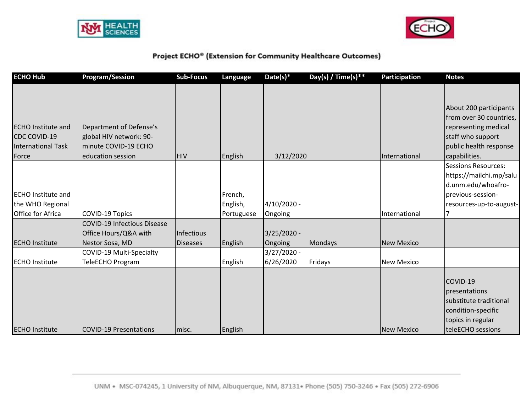



| <b>ECHO Hub</b>           | <b>Program/Session</b>             | <b>Sub-Focus</b> | Language   | $Date(s)*$    | Day(s) / Time(s) ** | <b>Participation</b> | <b>Notes</b>               |
|---------------------------|------------------------------------|------------------|------------|---------------|---------------------|----------------------|----------------------------|
|                           |                                    |                  |            |               |                     |                      |                            |
|                           |                                    |                  |            |               |                     |                      | About 200 participants     |
|                           |                                    |                  |            |               |                     |                      | from over 30 countries,    |
| <b>ECHO Institute and</b> | Department of Defense's            |                  |            |               |                     |                      | representing medical       |
| <b>CDC COVID-19</b>       | global HIV network: 90-            |                  |            |               |                     |                      | staff who support          |
| <b>International Task</b> | minute COVID-19 ECHO               |                  |            |               |                     |                      | public health response     |
| Force                     | education session                  | <b>HIV</b>       | English    | 3/12/2020     |                     | International        | capabilities.              |
|                           |                                    |                  |            |               |                     |                      | <b>Sessions Resources:</b> |
|                           |                                    |                  |            |               |                     |                      | https://mailchi.mp/salu    |
|                           |                                    |                  |            |               |                     |                      | d.unm.edu/whoafro-         |
| <b>ECHO</b> Institute and |                                    |                  | French,    |               |                     |                      | previous-session-          |
| the WHO Regional          |                                    |                  | English,   | 4/10/2020 -   |                     |                      | resources-up-to-august-    |
| <b>Office for Africa</b>  | <b>COVID-19 Topics</b>             |                  | Portuguese | Ongoing       |                     | International        |                            |
|                           | <b>COVID-19 Infectious Disease</b> |                  |            |               |                     |                      |                            |
|                           | Office Hours/Q&A with              | Infectious       |            | $3/25/2020 -$ |                     |                      |                            |
| <b>ECHO Institute</b>     | Nestor Sosa, MD                    | <b>Diseases</b>  | English    | Ongoing       | Mondays             | <b>New Mexico</b>    |                            |
|                           | COVID-19 Multi-Specialty           |                  |            | $3/27/2020 -$ |                     |                      |                            |
| <b>ECHO</b> Institute     | TeleECHO Program                   |                  | English    | 6/26/2020     | Fridays             | <b>New Mexico</b>    |                            |
|                           |                                    |                  |            |               |                     |                      |                            |
|                           |                                    |                  |            |               |                     |                      | COVID-19                   |
|                           |                                    |                  |            |               |                     |                      | presentations              |
|                           |                                    |                  |            |               |                     |                      | substitute traditional     |
|                           |                                    |                  |            |               |                     |                      | condition-specific         |
|                           |                                    |                  |            |               |                     |                      | topics in regular          |
| <b>ECHO Institute</b>     | COVID-19 Presentations             | Imisc.           | English    |               |                     | <b>New Mexico</b>    | teleECHO sessions          |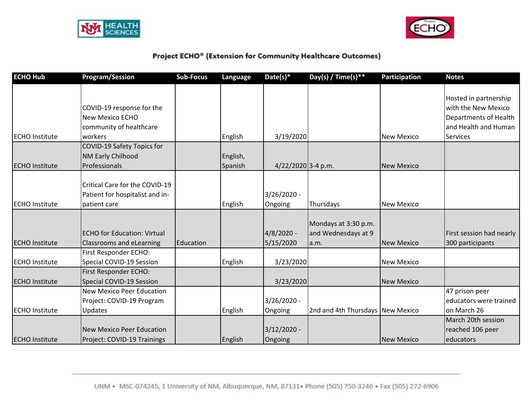



| <b>ECHO Hub</b>       | <b>Program/Session</b>                                                                    | <b>Sub-Focus</b> | Language            | Date(s)*                 | Day(s) / Time(s) **                                 | <b>Participation</b> | <b>Notes</b>                                                                                                     |
|-----------------------|-------------------------------------------------------------------------------------------|------------------|---------------------|--------------------------|-----------------------------------------------------|----------------------|------------------------------------------------------------------------------------------------------------------|
| <b>ECHO Institute</b> | COVID-19 response for the<br><b>New Mexico ECHO</b><br>community of healthcare<br>workers |                  | English             | 3/19/2020                |                                                     | <b>New Mexico</b>    | Hosted in partnership<br>with the New Mexico<br>Departments of Health<br>and Health and Human<br><b>Services</b> |
| <b>ECHO Institute</b> | COVID-19 Safety Topics for<br><b>NM Early Chilhood</b><br>Professionals                   |                  | English,<br>Spanish | 4/22/2020 3-4 p.m.       |                                                     | <b>New Mexico</b>    |                                                                                                                  |
| <b>ECHO</b> Institute | Critical Care for the COVID-19<br>Patient for hospitalist and in-<br>patient care         |                  | English             | $3/26/2020 -$<br>Ongoing | Thursdays                                           | <b>New Mexico</b>    |                                                                                                                  |
| <b>ECHO Institute</b> | <b>ECHO for Education: Virtual</b><br><b>Classrooms and eLearning</b>                     | Education        |                     | 4/8/2020 -<br>5/15/2020  | Mondays at 3:30 p.m.<br>and Wednesdays at 9<br>a.m. | <b>New Mexico</b>    | First session had nearly<br>300 participants                                                                     |
| <b>ECHO</b> Institute | First Responder ECHO:<br>Special COVID-19 Session<br>First Responder ECHO:                |                  | English             | 3/23/2020                |                                                     | <b>New Mexico</b>    |                                                                                                                  |
| <b>ECHO</b> Institute | Special COVID-19 Session                                                                  |                  |                     | 3/23/2020                |                                                     | <b>New Mexico</b>    |                                                                                                                  |
| <b>ECHO</b> Institute | <b>New Mexico Peer Education</b><br>Project: COVID-19 Program<br>Updates                  |                  | English             | 3/26/2020 -<br>Ongoing   | 2nd and 4th Thursdays New Mexico                    |                      | 47 prison peer<br>educators were trained<br>on March 26                                                          |
| <b>ECHO Institute</b> | New Mexico Peer Education<br>Project: COVID-19 Trainings                                  |                  | English             | $3/12/2020 -$<br>Ongoing |                                                     | <b>New Mexico</b>    | March 20th session<br>reached 106 peer<br>educators                                                              |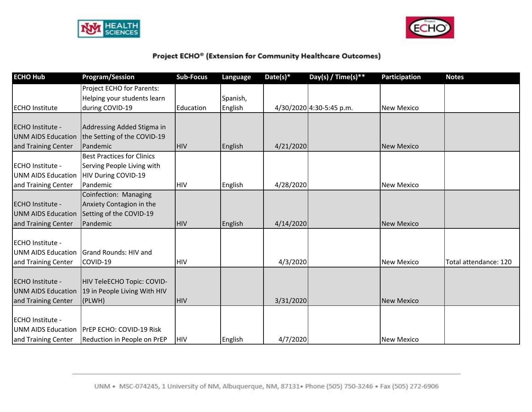



| <b>ECHO Hub</b>           | <b>Program/Session</b>            | <b>Sub-Focus</b> | Language | Date(s) $*$ | Day(s) / Time(s) **      | <b>Participation</b> | <b>Notes</b>          |
|---------------------------|-----------------------------------|------------------|----------|-------------|--------------------------|----------------------|-----------------------|
|                           | Project ECHO for Parents:         |                  |          |             |                          |                      |                       |
|                           | Helping your students learn       |                  | Spanish, |             |                          |                      |                       |
| <b>ECHO</b> Institute     | during COVID-19                   | Education        | English  |             | 4/30/2020 4:30-5:45 p.m. | <b>New Mexico</b>    |                       |
| <b>ECHO Institute -</b>   | Addressing Added Stigma in        |                  |          |             |                          |                      |                       |
| <b>UNM AIDS Education</b> | the Setting of the COVID-19       |                  |          |             |                          |                      |                       |
| and Training Center       | Pandemic                          | <b>HIV</b>       | English  | 4/21/2020   |                          | <b>New Mexico</b>    |                       |
|                           | <b>Best Practices for Clinics</b> |                  |          |             |                          |                      |                       |
| <b>ECHO Institute -</b>   | Serving People Living with        |                  |          |             |                          |                      |                       |
| UNM AIDS Education        | HIV During COVID-19               |                  |          |             |                          |                      |                       |
| and Training Center       | Pandemic                          | <b>HIV</b>       | English  | 4/28/2020   |                          | <b>New Mexico</b>    |                       |
|                           | Coinfection: Managing             |                  |          |             |                          |                      |                       |
| <b>ECHO Institute -</b>   | Anxiety Contagion in the          |                  |          |             |                          |                      |                       |
| <b>UNM AIDS Education</b> | Setting of the COVID-19           |                  |          |             |                          |                      |                       |
| and Training Center       | Pandemic                          | <b>HIV</b>       | English  | 4/14/2020   |                          | <b>New Mexico</b>    |                       |
|                           |                                   |                  |          |             |                          |                      |                       |
| <b>ECHO Institute -</b>   |                                   |                  |          |             |                          |                      |                       |
| UNM AIDS Education        | <b>Grand Rounds: HIV and</b>      |                  |          |             |                          |                      |                       |
| and Training Center       | COVID-19                          | <b>HIV</b>       |          | 4/3/2020    |                          | <b>New Mexico</b>    | Total attendance: 120 |
| <b>ECHO Institute -</b>   | HIV TeleECHO Topic: COVID-        |                  |          |             |                          |                      |                       |
| <b>UNM AIDS Education</b> | 19 in People Living With HIV      |                  |          |             |                          |                      |                       |
| and Training Center       | (PLWH)                            | <b>HIV</b>       |          | 3/31/2020   |                          | <b>New Mexico</b>    |                       |
|                           |                                   |                  |          |             |                          |                      |                       |
| <b>ECHO Institute -</b>   |                                   |                  |          |             |                          |                      |                       |
| UNM AIDS Education        | <b>PrEP ECHO: COVID-19 Risk</b>   |                  |          |             |                          |                      |                       |
| and Training Center       | Reduction in People on PrEP       | <b>HIV</b>       | English  | 4/7/2020    |                          | <b>New Mexico</b>    |                       |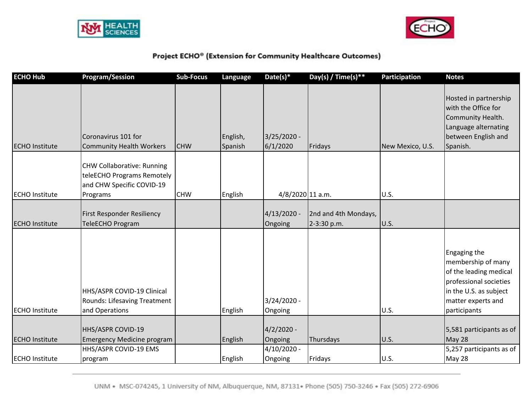



| <b>ECHO Hub</b>       | <b>Program/Session</b>                                                                                   | <b>Sub-Focus</b> | Language            | Date(s)*                  | Day(s) / Time(s) **                 | Participation    | <b>Notes</b>                                                                                                                                           |
|-----------------------|----------------------------------------------------------------------------------------------------------|------------------|---------------------|---------------------------|-------------------------------------|------------------|--------------------------------------------------------------------------------------------------------------------------------------------------------|
| <b>ECHO Institute</b> | Coronavirus 101 for<br><b>Community Health Workers</b>                                                   | <b>CHW</b>       | English,<br>Spanish | $3/25/2020 -$<br>6/1/2020 | Fridays                             | New Mexico, U.S. | Hosted in partnership<br>with the Office for<br>Community Health.<br>Language alternating<br>between English and<br>Spanish.                           |
| <b>ECHO Institute</b> | <b>CHW Collaborative: Running</b><br>teleECHO Programs Remotely<br>and CHW Specific COVID-19<br>Programs | <b>CHW</b>       | English             | 4/8/2020 11 a.m.          |                                     | U.S.             |                                                                                                                                                        |
| <b>ECHO Institute</b> | First Responder Resiliency<br>TeleECHO Program                                                           |                  |                     | $4/13/2020 -$<br>Ongoing  | 2nd and 4th Mondays,<br>2-3:30 p.m. | <b>U.S.</b>      |                                                                                                                                                        |
| <b>ECHO</b> Institute | HHS/ASPR COVID-19 Clinical<br>Rounds: Lifesaving Treatment<br>and Operations                             |                  | English             | $3/24/2020 -$<br>Ongoing  |                                     | U.S.             | Engaging the<br>membership of many<br>of the leading medical<br>professional societies<br>in the U.S. as subject<br>matter experts and<br>participants |
| <b>ECHO Institute</b> | HHS/ASPR COVID-19<br><b>Emergency Medicine program</b>                                                   |                  | English             | $4/2/2020 -$<br>Ongoing   | Thursdays                           | U.S.             | 5,581 participants as of<br>May 28                                                                                                                     |
| <b>ECHO Institute</b> | HHS/ASPR COVID-19 EMS<br>program                                                                         |                  | English             | $4/10/2020 -$<br>Ongoing  | Fridays                             | <b>U.S.</b>      | 5,257 participants as of<br>May 28                                                                                                                     |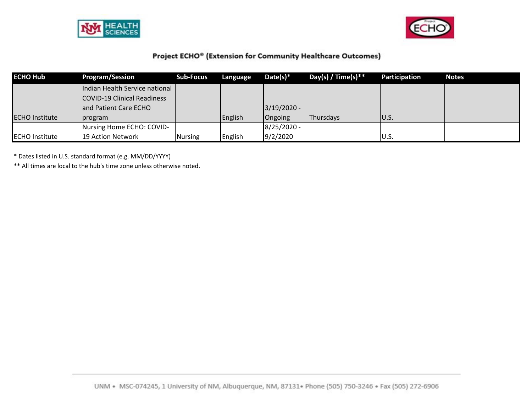



| <b>ECHO Hub</b>       | <b>Program/Session</b>         | <b>Sub-Focus</b> | Language | $Date(s)*$    | Day(s) / Time(s) $**$ | Participation | <b>Notes</b> |
|-----------------------|--------------------------------|------------------|----------|---------------|-----------------------|---------------|--------------|
|                       | Indian Health Service national |                  |          |               |                       |               |              |
|                       | COVID-19 Clinical Readiness    |                  |          |               |                       |               |              |
|                       | and Patient Care ECHO          |                  |          | $3/19/2020 -$ |                       |               |              |
| <b>ECHO Institute</b> | program                        |                  | English  | Ongoing       | <b>IThursdavs</b>     | IU.S.         |              |
|                       | Nursing Home ECHO: COVID-      |                  |          | $8/25/2020 -$ |                       |               |              |
| <b>ECHO</b> Institute | 19 Action Network              | <b>Nursing</b>   | English  | 9/2/2020      |                       | U.S.          |              |

\* Dates listed in U.S. standard format (e.g. MM/DD/YYYY)

\*\* All times are local to the hub's time zone unless otherwise noted.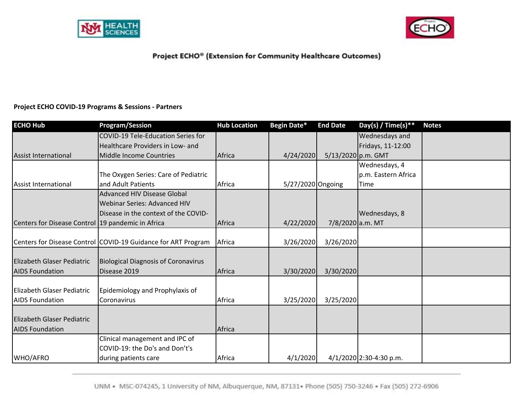



#### **Project ECHO COVID‐19 Programs & Sessions ‐ Partners**

| <b>ECHO Hub</b>                                     | <b>Program/Session</b>                                        | <b>Hub Location</b> | Begin Date*       | <b>End Date</b>    | Day(s) / Time(s)**        | <b>Notes</b> |
|-----------------------------------------------------|---------------------------------------------------------------|---------------------|-------------------|--------------------|---------------------------|--------------|
|                                                     | COVID-19 Tele-Education Series for                            |                     |                   |                    | Wednesdays and            |              |
|                                                     | Healthcare Providers in Low- and                              |                     |                   |                    | Fridays, 11-12:00         |              |
| <b>Assist International</b>                         | Middle Income Countries                                       | Africa              | 4/24/2020         | 5/13/2020 p.m. GMT |                           |              |
|                                                     |                                                               |                     |                   |                    | Wednesdays, 4             |              |
|                                                     | The Oxygen Series: Care of Pediatric                          |                     |                   |                    | p.m. Eastern Africa       |              |
| Assist International                                | and Adult Patients                                            | Africa              | 5/27/2020 Ongoing |                    | Time                      |              |
|                                                     | <b>Advanced HIV Disease Global</b>                            |                     |                   |                    |                           |              |
|                                                     | Webinar Series: Advanced HIV                                  |                     |                   |                    |                           |              |
|                                                     | Disease in the context of the COVID-                          |                     |                   |                    | Wednesdays, 8             |              |
| Centers for Disease Control   19 pandemic in Africa |                                                               | Africa              | 4/22/2020         | 7/8/2020 a.m. MT   |                           |              |
|                                                     |                                                               |                     |                   |                    |                           |              |
|                                                     | Centers for Disease Control COVID-19 Guidance for ART Program | Africa              | 3/26/2020         | 3/26/2020          |                           |              |
|                                                     |                                                               |                     |                   |                    |                           |              |
| <b>Elizabeth Glaser Pediatric</b>                   | <b>Biological Diagnosis of Coronavirus</b>                    |                     |                   |                    |                           |              |
| <b>AIDS Foundation</b>                              | Disease 2019                                                  | Africa              | 3/30/2020         | 3/30/2020          |                           |              |
|                                                     |                                                               |                     |                   |                    |                           |              |
| <b>Elizabeth Glaser Pediatric</b>                   | Epidemiology and Prophylaxis of                               |                     |                   |                    |                           |              |
| <b>AIDS Foundation</b>                              | Coronavirus                                                   | Africa              | 3/25/2020         | 3/25/2020          |                           |              |
|                                                     |                                                               |                     |                   |                    |                           |              |
| <b>Elizabeth Glaser Pediatric</b>                   |                                                               |                     |                   |                    |                           |              |
| <b>AIDS Foundation</b>                              |                                                               | Africa              |                   |                    |                           |              |
|                                                     | Clinical management and IPC of                                |                     |                   |                    |                           |              |
|                                                     | COVID-19: the Do's and Don't's                                |                     |                   |                    |                           |              |
| WHO/AFRO                                            | during patients care                                          | Africa              | 4/1/2020          |                    | $4/1/2020$ 2:30-4:30 p.m. |              |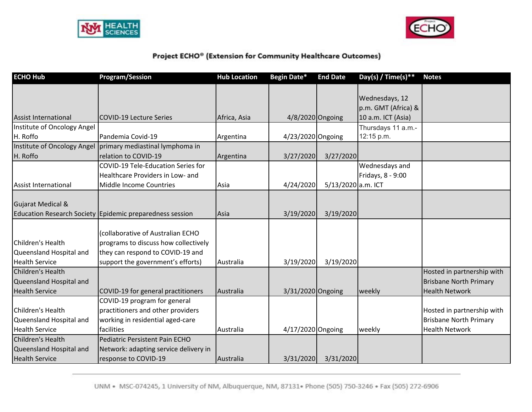



| <b>ECHO Hub</b>                                                       | <b>Program/Session</b>                                                                                                                             | <b>Hub Location</b> | Begin Date*       | <b>End Date</b>    | Day(s) / Time(s)**                                          | <b>Notes</b>                  |
|-----------------------------------------------------------------------|----------------------------------------------------------------------------------------------------------------------------------------------------|---------------------|-------------------|--------------------|-------------------------------------------------------------|-------------------------------|
| <b>Assist International</b>                                           | <b>COVID-19 Lecture Series</b>                                                                                                                     | Africa, Asia        | 4/8/2020 Ongoing  |                    | Wednesdays, 12<br>p.m. GMT (Africa) &<br>10 a.m. ICT (Asia) |                               |
| Institute of Oncology Angel                                           |                                                                                                                                                    |                     |                   |                    | Thursdays 11 a.m.-                                          |                               |
| H. Roffo                                                              | Pandemia Covid-19                                                                                                                                  | Argentina           | 4/23/2020 Ongoing |                    | 12:15 p.m.                                                  |                               |
|                                                                       | Institute of Oncology Angel   primary mediastinal lymphoma in                                                                                      |                     |                   |                    |                                                             |                               |
| H. Roffo                                                              | relation to COVID-19                                                                                                                               | Argentina           | 3/27/2020         | 3/27/2020          |                                                             |                               |
|                                                                       | COVID-19 Tele-Education Series for                                                                                                                 |                     |                   |                    | Wednesdays and                                              |                               |
|                                                                       | Healthcare Providers in Low- and                                                                                                                   |                     |                   |                    | Fridays, 8 - 9:00                                           |                               |
| Assist International                                                  | Middle Income Countries                                                                                                                            | Asia                | 4/24/2020         | 5/13/2020 a.m. ICT |                                                             |                               |
| <b>Gujarat Medical &amp;</b>                                          | Education Research Society Epidemic preparedness session                                                                                           | Asia                | 3/19/2020         | 3/19/2020          |                                                             |                               |
| Children's Health<br>Queensland Hospital and<br><b>Health Service</b> | (collaborative of Australian ECHO<br>programs to discuss how collectively<br>they can respond to COVID-19 and<br>support the government's efforts) | Australia           | 3/19/2020         | 3/19/2020          |                                                             |                               |
| Children's Health                                                     |                                                                                                                                                    |                     |                   |                    |                                                             | Hosted in partnership with    |
| Queensland Hospital and                                               |                                                                                                                                                    |                     |                   |                    |                                                             | <b>Brisbane North Primary</b> |
| <b>Health Service</b>                                                 | COVID-19 for general practitioners                                                                                                                 | Australia           | 3/31/2020 Ongoing |                    | weekly                                                      | <b>Health Network</b>         |
|                                                                       | COVID-19 program for general                                                                                                                       |                     |                   |                    |                                                             |                               |
| Children's Health                                                     | practitioners and other providers                                                                                                                  |                     |                   |                    |                                                             | Hosted in partnership with    |
| Queensland Hospital and                                               | working in residential aged-care                                                                                                                   |                     |                   |                    |                                                             | <b>Brisbane North Primary</b> |
| <b>Health Service</b>                                                 | facilities                                                                                                                                         | Australia           | 4/17/2020 Ongoing |                    | weekly                                                      | <b>Health Network</b>         |
| Children's Health                                                     | Pediatric Persistent Pain ECHO                                                                                                                     |                     |                   |                    |                                                             |                               |
| Queensland Hospital and                                               | Network: adapting service delivery in                                                                                                              |                     |                   |                    |                                                             |                               |
| <b>Health Service</b>                                                 | response to COVID-19                                                                                                                               | Australia           | 3/31/2020         | 3/31/2020          |                                                             |                               |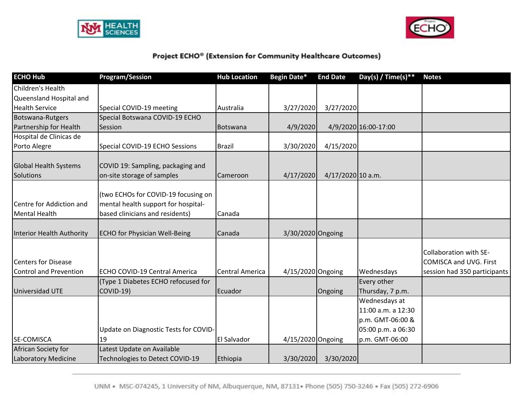



| <b>ECHO Hub</b>                                      | <b>Program/Session</b>                                                                                        | <b>Hub Location</b>    | <b>Begin Date*</b> | <b>End Date</b>     | Day(s) / Time(s) **                                                           | <b>Notes</b>                                                                            |
|------------------------------------------------------|---------------------------------------------------------------------------------------------------------------|------------------------|--------------------|---------------------|-------------------------------------------------------------------------------|-----------------------------------------------------------------------------------------|
| Children's Health                                    |                                                                                                               |                        |                    |                     |                                                                               |                                                                                         |
| Queensland Hospital and                              |                                                                                                               |                        |                    |                     |                                                                               |                                                                                         |
| <b>Health Service</b>                                | Special COVID-19 meeting                                                                                      | Australia              | 3/27/2020          | 3/27/2020           |                                                                               |                                                                                         |
| Botswana-Rutgers                                     | Special Botswana COVID-19 ECHO                                                                                |                        |                    |                     |                                                                               |                                                                                         |
| Partnership for Health                               | Session                                                                                                       | Botswana               | 4/9/2020           |                     | 4/9/2020 16:00-17:00                                                          |                                                                                         |
| Hospital de Clinicas de                              |                                                                                                               |                        |                    |                     |                                                                               |                                                                                         |
| Porto Alegre                                         | Special COVID-19 ECHO Sessions                                                                                | <b>Brazil</b>          | 3/30/2020          | 4/15/2020           |                                                                               |                                                                                         |
| <b>Global Health Systems</b><br>Solutions            | COVID 19: Sampling, packaging and<br>on-site storage of samples                                               | Cameroon               | 4/17/2020          | $4/17/2020$ 10 a.m. |                                                                               |                                                                                         |
| Centre for Addiction and<br>Mental Health            | (two ECHOs for COVID-19 focusing on<br>mental health support for hospital-<br>based clinicians and residents) | Canada                 |                    |                     |                                                                               |                                                                                         |
| Interior Health Authority                            | <b>ECHO for Physician Well-Being</b>                                                                          | Canada                 | 3/30/2020 Ongoing  |                     |                                                                               |                                                                                         |
| <b>Centers for Disease</b><br>Control and Prevention | ECHO COVID-19 Central America                                                                                 | <b>Central America</b> | 4/15/2020 Ongoing  |                     | Wednesdays                                                                    | Collaboration with SE-<br><b>COMISCA and UVG. First</b><br>session had 350 participants |
| Universidad UTE                                      | (Type 1 Diabetes ECHO refocused for<br><b>COVID-19)</b>                                                       | Ecuador                |                    | Ongoing             | Every other<br>Thursday, 7 p.m.                                               |                                                                                         |
|                                                      | Update on Diagnostic Tests for COVID-                                                                         |                        |                    |                     | Wednesdays at<br>11:00 a.m. a 12:30<br>p.m. GMT-06:00 &<br>05:00 p.m. a 06:30 |                                                                                         |
| <b>SE-COMISCA</b>                                    | 19                                                                                                            | <b>El Salvador</b>     | 4/15/2020 Ongoing  |                     | p.m. GMT-06:00                                                                |                                                                                         |
| African Society for<br>Laboratory Medicine           | Latest Update on Available<br>Technologies to Detect COVID-19                                                 | Ethiopia               | 3/30/2020          | 3/30/2020           |                                                                               |                                                                                         |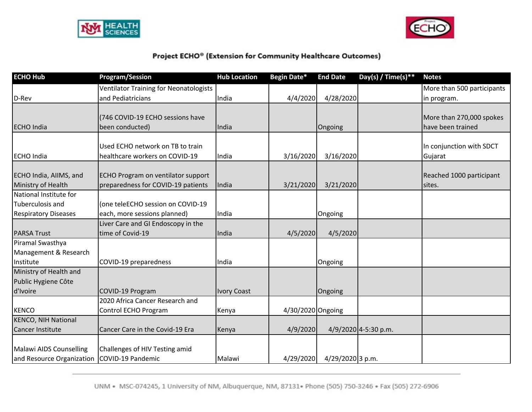



| <b>ECHO Hub</b>             | <b>Program/Session</b>                        | <b>Hub Location</b> | Begin Date*       | <b>End Date</b>  | Day(s) / Time(s)**   | <b>Notes</b>               |
|-----------------------------|-----------------------------------------------|---------------------|-------------------|------------------|----------------------|----------------------------|
|                             | <b>Ventilator Training for Neonatologists</b> |                     |                   |                  |                      | More than 500 participants |
| D-Rev                       | and Pediatricians                             | India               | 4/4/2020          | 4/28/2020        |                      | in program.                |
|                             |                                               |                     |                   |                  |                      |                            |
|                             | (746 COVID-19 ECHO sessions have              |                     |                   |                  |                      | More than 270,000 spokes   |
| <b>ECHO</b> India           | been conducted)                               | India               |                   | Ongoing          |                      | have been trained          |
|                             |                                               |                     |                   |                  |                      |                            |
|                             | Used ECHO network on TB to train              |                     |                   |                  |                      | In conjunction with SDCT   |
| <b>ECHO</b> India           | healthcare workers on COVID-19                | India               | 3/16/2020         | 3/16/2020        |                      | Gujarat                    |
| ECHO India, AllMS, and      | ECHO Program on ventilator support            |                     |                   |                  |                      | Reached 1000 participant   |
| Ministry of Health          | preparedness for COVID-19 patients            | India               |                   | 3/21/2020        |                      | Isites.                    |
| National Institute for      |                                               |                     | 3/21/2020         |                  |                      |                            |
| Tuberculosis and            | (one teleECHO session on COVID-19             |                     |                   |                  |                      |                            |
| <b>Respiratory Diseases</b> | each, more sessions planned)                  | India               |                   | Ongoing          |                      |                            |
|                             | Liver Care and GI Endoscopy in the            |                     |                   |                  |                      |                            |
| <b>PARSA Trust</b>          | time of Covid-19                              | India               | 4/5/2020          | 4/5/2020         |                      |                            |
| Piramal Swasthya            |                                               |                     |                   |                  |                      |                            |
| Management & Research       |                                               |                     |                   |                  |                      |                            |
| Institute                   | COVID-19 preparedness                         | India               |                   | Ongoing          |                      |                            |
| Ministry of Health and      |                                               |                     |                   |                  |                      |                            |
| Public Hygiene Côte         |                                               |                     |                   |                  |                      |                            |
| d'Ivoire                    | COVID-19 Program                              | <b>Ivory Coast</b>  |                   | Ongoing          |                      |                            |
|                             | 2020 Africa Cancer Research and               |                     |                   |                  |                      |                            |
| <b>KENCO</b>                | Control ECHO Program                          | Kenya               | 4/30/2020 Ongoing |                  |                      |                            |
| <b>KENCO, NIH National</b>  |                                               |                     |                   |                  |                      |                            |
| <b>Cancer Institute</b>     | Cancer Care in the Covid-19 Era               | Kenya               | 4/9/2020          |                  | 4/9/2020 4-5:30 p.m. |                            |
|                             |                                               |                     |                   |                  |                      |                            |
| Malawi AIDS Counselling     | Challenges of HIV Testing amid                |                     |                   |                  |                      |                            |
| and Resource Organization   | COVID-19 Pandemic                             | Malawi              | 4/29/2020         | 4/29/2020 3 p.m. |                      |                            |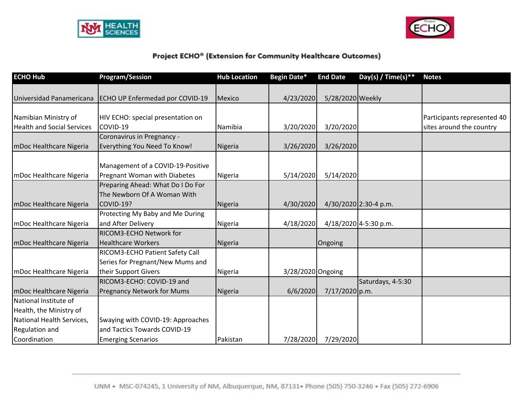



| <b>ECHO Hub</b>                   | <b>Program/Session</b>            | <b>Hub Location</b> | <b>Begin Date*</b> | <b>End Date</b>  | Day(s) / Time(s)**    | <b>Notes</b>                |
|-----------------------------------|-----------------------------------|---------------------|--------------------|------------------|-----------------------|-----------------------------|
|                                   |                                   |                     |                    |                  |                       |                             |
| Universidad Panamericana          | ECHO UP Enfermedad por COVID-19   | <b>Mexico</b>       | 4/23/2020          | 5/28/2020 Weekly |                       |                             |
| Namibian Ministry of              | HIV ECHO: special presentation on |                     |                    |                  |                       | Participants represented 40 |
| <b>Health and Social Services</b> | COVID-19                          | Namibia             | 3/20/2020          | 3/20/2020        |                       | sites around the country    |
|                                   | Coronavirus in Pregnancy -        |                     |                    |                  |                       |                             |
| mDoc Healthcare Nigeria           | Everything You Need To Know!      | Nigeria             | 3/26/2020          | 3/26/2020        |                       |                             |
|                                   |                                   |                     |                    |                  |                       |                             |
|                                   | Management of a COVID-19-Positive |                     |                    |                  |                       |                             |
| mDoc Healthcare Nigeria           | Pregnant Woman with Diabetes      | Nigeria             | 5/14/2020          | 5/14/2020        |                       |                             |
|                                   | Preparing Ahead: What Do I Do For |                     |                    |                  |                       |                             |
|                                   | The Newborn Of A Woman With       |                     |                    |                  |                       |                             |
| mDoc Healthcare Nigeria           | COVID-19?                         | Nigeria             | 4/30/2020          |                  | 4/30/2020 2:30-4 p.m. |                             |
|                                   | Protecting My Baby and Me During  |                     |                    |                  |                       |                             |
| mDoc Healthcare Nigeria           | and After Delivery                | Nigeria             | 4/18/2020          |                  | 4/18/2020 4-5:30 p.m. |                             |
|                                   | RICOM3-ECHO Network for           |                     |                    |                  |                       |                             |
| mDoc Healthcare Nigeria           | <b>Healthcare Workers</b>         | Nigeria             |                    | Ongoing          |                       |                             |
|                                   | RICOM3-ECHO Patient Safety Call   |                     |                    |                  |                       |                             |
|                                   | Series for Pregnant/New Mums and  |                     |                    |                  |                       |                             |
| mDoc Healthcare Nigeria           | their Support Givers              | Nigeria             | 3/28/2020 Ongoing  |                  |                       |                             |
|                                   | RICOM3-ECHO: COVID-19 and         |                     |                    |                  | Saturdays, 4-5:30     |                             |
| mDoc Healthcare Nigeria           | <b>Pregnancy Network for Mums</b> | Nigeria             | 6/6/2020           | 7/17/2020 p.m.   |                       |                             |
| National Institute of             |                                   |                     |                    |                  |                       |                             |
| Health, the Ministry of           |                                   |                     |                    |                  |                       |                             |
| National Health Services,         | Swaying with COVID-19: Approaches |                     |                    |                  |                       |                             |
| <b>Regulation and</b>             | and Tactics Towards COVID-19      |                     |                    |                  |                       |                             |
| Coordination                      | <b>Emerging Scenarios</b>         | Pakistan            | 7/28/2020          | 7/29/2020        |                       |                             |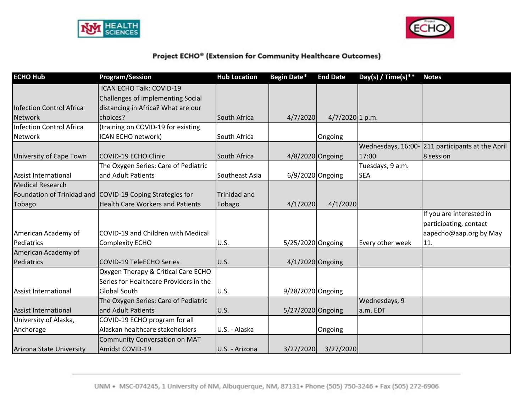



| <b>ECHO Hub</b>                 | <b>Program/Session</b>                                    | <b>Hub Location</b> | Begin Date*        | <b>End Date</b>   | Day(s) / Time(s) ** | <b>Notes</b>                                     |
|---------------------------------|-----------------------------------------------------------|---------------------|--------------------|-------------------|---------------------|--------------------------------------------------|
|                                 | ICAN ECHO Talk: COVID-19                                  |                     |                    |                   |                     |                                                  |
|                                 | Challenges of implementing Social                         |                     |                    |                   |                     |                                                  |
| <b>Infection Control Africa</b> | distancing in Africa? What are our                        |                     |                    |                   |                     |                                                  |
| <b>Network</b>                  | choices?                                                  | South Africa        | 4/7/2020           | $4/7/2020$ 1 p.m. |                     |                                                  |
| Infection Control Africa        | (training on COVID-19 for existing                        |                     |                    |                   |                     |                                                  |
| Network                         | ICAN ECHO network)                                        | South Africa        |                    | Ongoing           |                     |                                                  |
|                                 |                                                           |                     |                    |                   |                     | Wednesdays, 16:00-211 participants at the April  |
| University of Cape Town         | COVID-19 ECHO Clinic                                      | South Africa        | 4/8/2020 Ongoing   |                   | 17:00               | 8 session                                        |
|                                 | The Oxygen Series: Care of Pediatric                      |                     |                    |                   | Tuesdays, 9 a.m.    |                                                  |
| <b>Assist International</b>     | and Adult Patients                                        | Southeast Asia      | $6/9/2020$ Ongoing |                   | <b>SEA</b>          |                                                  |
| <b>Medical Research</b>         |                                                           |                     |                    |                   |                     |                                                  |
|                                 | Foundation of Trinidad and COVID-19 Coping Strategies for | <b>Trinidad and</b> |                    |                   |                     |                                                  |
| Tobago                          | <b>Health Care Workers and Patients</b>                   | Tobago              | 4/1/2020           | 4/1/2020          |                     |                                                  |
|                                 |                                                           |                     |                    |                   |                     | If you are interested in                         |
| American Academy of             | COVID-19 and Children with Medical                        |                     |                    |                   |                     | participating, contact<br>aapecho@aap.org by May |
| Pediatrics                      | Complexity ECHO                                           | <b>U.S.</b>         | 5/25/2020 Ongoing  |                   | Every other week    | 11.                                              |
| American Academy of             |                                                           |                     |                    |                   |                     |                                                  |
| Pediatrics                      | <b>COVID-19 TeleECHO Series</b>                           | U.S.                | 4/1/2020 Ongoing   |                   |                     |                                                  |
|                                 | Oxygen Therapy & Critical Care ECHO                       |                     |                    |                   |                     |                                                  |
|                                 | Series for Healthcare Providers in the                    |                     |                    |                   |                     |                                                  |
| Assist International            | <b>Global South</b>                                       | <b>U.S.</b>         | 9/28/2020 Ongoing  |                   |                     |                                                  |
|                                 | The Oxygen Series: Care of Pediatric                      |                     |                    |                   | Wednesdays, 9       |                                                  |
| <b>Assist International</b>     | and Adult Patients                                        | U.S.                | 5/27/2020 Ongoing  |                   | a.m. EDT            |                                                  |
| University of Alaska,           | COVID-19 ECHO program for all                             |                     |                    |                   |                     |                                                  |
| Anchorage                       | Alaskan healthcare stakeholders                           | U.S. - Alaska       |                    | Ongoing           |                     |                                                  |
|                                 | Community Conversation on MAT                             |                     |                    |                   |                     |                                                  |
| <b>Arizona State University</b> | Amidst COVID-19                                           | U.S. - Arizona      | 3/27/2020          | 3/27/2020         |                     |                                                  |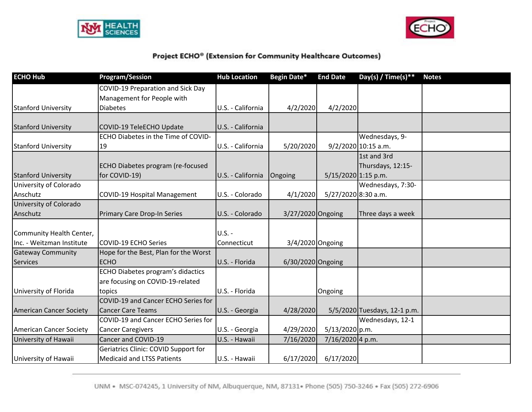



| <b>ECHO Hub</b>                | <b>Program/Session</b>                | <b>Hub Location</b> | <b>Begin Date*</b> | <b>End Date</b>       | Day(s) / Time(s) **          | <b>Notes</b> |
|--------------------------------|---------------------------------------|---------------------|--------------------|-----------------------|------------------------------|--------------|
|                                | COVID-19 Preparation and Sick Day     |                     |                    |                       |                              |              |
|                                | Management for People with            |                     |                    |                       |                              |              |
| <b>Stanford University</b>     | <b>Diabetes</b>                       | U.S. - California   | 4/2/2020           | 4/2/2020              |                              |              |
|                                |                                       |                     |                    |                       |                              |              |
| <b>Stanford University</b>     | COVID-19 TeleECHO Update              | U.S. - California   |                    |                       |                              |              |
|                                | ECHO Diabetes in the Time of COVID-   |                     |                    |                       | Wednesdays, 9-               |              |
| <b>Stanford University</b>     | 19                                    | U.S. - California   | 5/20/2020          |                       | 9/2/2020 10:15 a.m.          |              |
|                                |                                       |                     |                    |                       | 1st and 3rd                  |              |
|                                | ECHO Diabetes program (re-focused     |                     |                    |                       | Thursdays, 12:15-            |              |
| <b>Stanford University</b>     | for COVID-19)                         | U.S. - California   | Ongoing            | $5/15/2020$ 1:15 p.m. |                              |              |
| University of Colorado         |                                       |                     |                    |                       | Wednesdays, 7:30-            |              |
| Anschutz                       | <b>COVID-19 Hospital Management</b>   | U.S. - Colorado     | 4/1/2020           | 5/27/2020 8:30 a.m.   |                              |              |
| University of Colorado         |                                       |                     |                    |                       |                              |              |
| Anschutz                       | Primary Care Drop-In Series           | U.S. - Colorado     | 3/27/2020 Ongoing  |                       | Three days a week            |              |
|                                |                                       |                     |                    |                       |                              |              |
| Community Health Center,       |                                       | <b>U.S. -</b>       |                    |                       |                              |              |
| Inc. - Weitzman Institute      | COVID-19 ECHO Series                  | Connecticut         | 3/4/2020 Ongoing   |                       |                              |              |
| <b>Gateway Community</b>       | Hope for the Best, Plan for the Worst |                     |                    |                       |                              |              |
| <b>Services</b>                | <b>ECHO</b>                           | U.S. - Florida      | 6/30/2020 Ongoing  |                       |                              |              |
|                                | ECHO Diabetes program's didactics     |                     |                    |                       |                              |              |
|                                | are focusing on COVID-19-related      |                     |                    |                       |                              |              |
| University of Florida          | topics                                | U.S. - Florida      |                    | Ongoing               |                              |              |
|                                | COVID-19 and Cancer ECHO Series for   |                     |                    |                       |                              |              |
| <b>American Cancer Society</b> | <b>Cancer Care Teams</b>              | U.S. - Georgia      | 4/28/2020          |                       | 5/5/2020 Tuesdays, 12-1 p.m. |              |
|                                | COVID-19 and Cancer ECHO Series for   |                     |                    |                       | Wednesdays, 12-1             |              |
| American Cancer Society        | <b>Cancer Caregivers</b>              | U.S. - Georgia      | 4/29/2020          | 5/13/2020 p.m.        |                              |              |
| University of Hawaii           | Cancer and COVID-19                   | U.S. - Hawaii       | 7/16/2020          | 7/16/2020 4 p.m.      |                              |              |
|                                | Geriatrics Clinic: COVID Support for  |                     |                    |                       |                              |              |
| University of Hawaii           | <b>Medicaid and LTSS Patients</b>     | U.S. - Hawaii       | 6/17/2020          | 6/17/2020             |                              |              |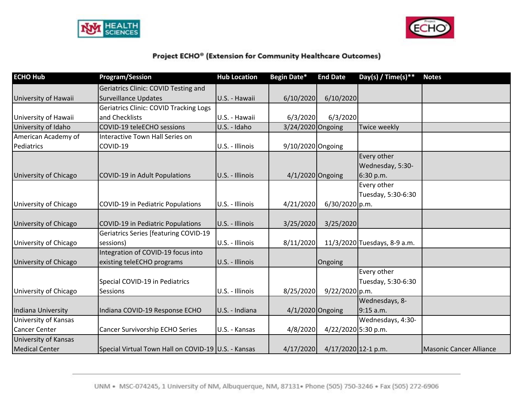



| <b>ECHO Hub</b>       | <b>Program/Session</b>                              | <b>Hub Location</b> | <b>Begin Date*</b>  | <b>End Date</b>     | Day(s) / Time(s)**           | <b>Notes</b>                   |
|-----------------------|-----------------------------------------------------|---------------------|---------------------|---------------------|------------------------------|--------------------------------|
|                       | Geriatrics Clinic: COVID Testing and                |                     |                     |                     |                              |                                |
| University of Hawaii  | <b>Surveillance Updates</b>                         | U.S. - Hawaii       | 6/10/2020           | 6/10/2020           |                              |                                |
|                       | Geriatrics Clinic: COVID Tracking Logs              |                     |                     |                     |                              |                                |
| University of Hawaii  | and Checklists                                      | U.S. - Hawaii       | 6/3/2020            | 6/3/2020            |                              |                                |
| University of Idaho   | COVID-19 teleECHO sessions                          | U.S. - Idaho        | 3/24/2020 Ongoing   |                     | <b>Twice weekly</b>          |                                |
| American Academy of   | Interactive Town Hall Series on                     |                     |                     |                     |                              |                                |
| Pediatrics            | COVID-19                                            | U.S. - Illinois     | $9/10/2020$ Ongoing |                     |                              |                                |
|                       |                                                     |                     |                     |                     | Every other                  |                                |
|                       |                                                     |                     |                     |                     | Wednesday, 5:30-             |                                |
| University of Chicago | <b>COVID-19 in Adult Populations</b>                | U.S. - Illinois     |                     | $4/1/2020$ Ongoing  | 6:30 p.m.                    |                                |
|                       |                                                     |                     |                     |                     | Every other                  |                                |
|                       |                                                     |                     |                     |                     | Tuesday, 5:30-6:30           |                                |
| University of Chicago | COVID-19 in Pediatric Populations                   | U.S. - Illinois     | 4/21/2020           | $6/30/2020$ p.m.    |                              |                                |
|                       |                                                     |                     |                     |                     |                              |                                |
| University of Chicago | COVID-19 in Pediatric Populations                   | U.S. - Illinois     | 3/25/2020           | 3/25/2020           |                              |                                |
|                       | <b>Geriatrics Series [featuring COVID-19</b>        |                     |                     |                     |                              |                                |
| University of Chicago | sessions)                                           | U.S. - Illinois     | 8/11/2020           |                     | 11/3/2020 Tuesdays, 8-9 a.m. |                                |
|                       | Integration of COVID-19 focus into                  |                     |                     |                     |                              |                                |
| University of Chicago | existing teleECHO programs                          | U.S. - Illinois     |                     | Ongoing             |                              |                                |
|                       |                                                     |                     |                     |                     | Every other                  |                                |
|                       | Special COVID-19 in Pediatrics                      |                     |                     |                     | Tuesday, 5:30-6:30           |                                |
| University of Chicago | <b>Sessions</b>                                     | U.S. - Illinois     | 8/25/2020           | 9/22/2020 p.m.      |                              |                                |
|                       |                                                     |                     |                     |                     | Wednesdays, 8-               |                                |
| Indiana University    | Indiana COVID-19 Response ECHO                      | U.S. - Indiana      |                     | 4/1/2020 Ongoing    | $9:15$ a.m.                  |                                |
| University of Kansas  |                                                     |                     |                     |                     | Wednesdays, 4:30-            |                                |
| <b>Cancer Center</b>  | Cancer Survivorship ECHO Series                     | U.S. - Kansas       | 4/8/2020            | 4/22/2020 5:30 p.m. |                              |                                |
| University of Kansas  |                                                     |                     |                     |                     |                              |                                |
| <b>Medical Center</b> | Special Virtual Town Hall on COVID-19 U.S. - Kansas |                     | 4/17/2020           | 4/17/2020 12-1 p.m. |                              | <b>Masonic Cancer Alliance</b> |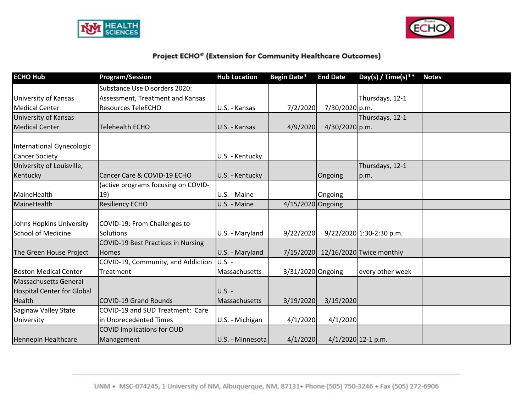



| <b>ECHO Hub</b>                   | <b>Program/Session</b>              | <b>Hub Location</b> | Begin Date*       | <b>End Date</b> | Day(s) / Time(s)**                 | <b>Notes</b> |
|-----------------------------------|-------------------------------------|---------------------|-------------------|-----------------|------------------------------------|--------------|
|                                   | Substance Use Disorders 2020:       |                     |                   |                 |                                    |              |
| University of Kansas              | Assessment, Treatment and Kansas    |                     |                   |                 | Thursdays, 12-1                    |              |
| <b>Medical Center</b>             | <b>Resources TeleECHO</b>           | U.S. - Kansas       | 7/2/2020          | 7/30/2020 p.m.  |                                    |              |
| University of Kansas              |                                     |                     |                   |                 | Thursdays, 12-1                    |              |
| <b>Medical Center</b>             | <b>Telehealth ECHO</b>              | U.S. - Kansas       | 4/9/2020          | 4/30/2020 p.m.  |                                    |              |
| International Gynecologic         |                                     |                     |                   |                 |                                    |              |
| <b>Cancer Society</b>             |                                     | U.S. - Kentucky     |                   |                 |                                    |              |
| University of Louisville,         |                                     |                     |                   |                 | Thursdays, 12-1                    |              |
| Kentucky                          | Cancer Care & COVID-19 ECHO         | U.S. - Kentucky     |                   | Ongoing         | p.m.                               |              |
|                                   | (active programs focusing on COVID- |                     |                   |                 |                                    |              |
| MaineHealth                       | 19)                                 | U.S. - Maine        |                   | Ongoing         |                                    |              |
| MaineHealth                       | <b>Resiliency ECHO</b>              | U.S. - Maine        | 4/15/2020 Ongoing |                 |                                    |              |
|                                   |                                     |                     |                   |                 |                                    |              |
| Johns Hopkins University          | COVID-19: From Challenges to        |                     |                   |                 |                                    |              |
| <b>School of Medicine</b>         | Solutions                           | U.S. - Maryland     | 9/22/2020         |                 | 9/22/2020 1:30-2:30 p.m.           |              |
|                                   | COVID-19 Best Practices in Nursing  |                     |                   |                 |                                    |              |
| The Green House Project           | <b>Homes</b>                        | U.S. - Maryland     |                   |                 | 7/15/2020 12/16/2020 Twice monthly |              |
|                                   | COVID-19, Community, and Addiction  | $U.S. -$            |                   |                 |                                    |              |
| <b>Boston Medical Center</b>      | Treatment                           | Massachusetts       | 3/31/2020 Ongoing |                 | every other week                   |              |
| Massachusetts General             |                                     |                     |                   |                 |                                    |              |
| <b>Hospital Center for Global</b> |                                     | <b>U.S. -</b>       |                   |                 |                                    |              |
| Health                            | COVID-19 Grand Rounds               | Massachusetts       | 3/19/2020         | 3/19/2020       |                                    |              |
| Saginaw Valley State              | COVID-19 and SUD Treatment: Care    |                     |                   |                 |                                    |              |
| University                        | in Unprecedented Times              | U.S. - Michigan     | 4/1/2020          | 4/1/2020        |                                    |              |
|                                   | <b>COVID Implications for OUD</b>   |                     |                   |                 |                                    |              |
| Hennepin Healthcare               | Management                          | U.S. - Minnesota    | 4/1/2020          |                 | $4/1/2020$ 12-1 p.m.               |              |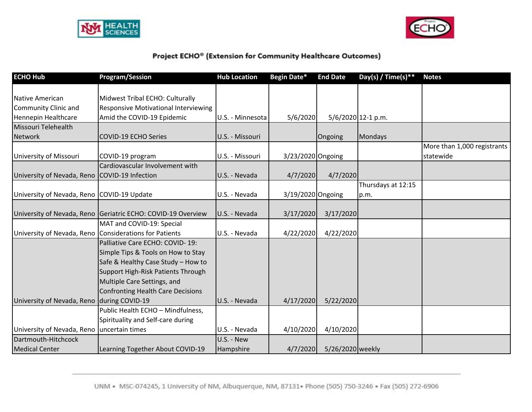



| <b>ECHO Hub</b>                               | <b>Program/Session</b>                                 | <b>Hub Location</b> | Begin Date*       | <b>End Date</b>  | Day(s) / Time(s) **  | <b>Notes</b>                             |
|-----------------------------------------------|--------------------------------------------------------|---------------------|-------------------|------------------|----------------------|------------------------------------------|
|                                               |                                                        |                     |                   |                  |                      |                                          |
| Native American                               | Midwest Tribal ECHO: Culturally                        |                     |                   |                  |                      |                                          |
| Community Clinic and                          | <b>Responsive Motivational Interviewing</b>            |                     |                   |                  |                      |                                          |
| Hennepin Healthcare                           | Amid the COVID-19 Epidemic                             | U.S. - Minnesota    | 5/6/2020          |                  | $5/6/2020$ 12-1 p.m. |                                          |
| Missouri Telehealth                           |                                                        |                     |                   |                  |                      |                                          |
| <b>Network</b>                                | <b>COVID-19 ECHO Series</b>                            | U.S. - Missouri     |                   | Ongoing          | Mondays              |                                          |
| University of Missouri                        | COVID-19 program                                       | U.S. - Missouri     | 3/23/2020 Ongoing |                  |                      | More than 1,000 registrants<br>statewide |
|                                               | Cardiovascular Involvement with                        |                     |                   |                  |                      |                                          |
| University of Nevada, Reno COVID-19 Infection |                                                        | U.S. - Nevada       | 4/7/2020          | 4/7/2020         |                      |                                          |
|                                               |                                                        |                     |                   |                  | Thursdays at 12:15   |                                          |
| University of Nevada, Reno COVID-19 Update    |                                                        | U.S. - Nevada       | 3/19/2020 Ongoing |                  | p.m.                 |                                          |
|                                               |                                                        |                     |                   |                  |                      |                                          |
| University of Nevada, Reno                    | Geriatric ECHO: COVID-19 Overview                      | U.S. - Nevada       | 3/17/2020         | 3/17/2020        |                      |                                          |
|                                               | MAT and COVID-19: Special                              |                     |                   |                  |                      |                                          |
|                                               | University of Nevada, Reno Considerations for Patients | U.S. - Nevada       | 4/22/2020         | 4/22/2020        |                      |                                          |
|                                               | Palliative Care ECHO: COVID-19:                        |                     |                   |                  |                      |                                          |
|                                               | Simple Tips & Tools on How to Stay                     |                     |                   |                  |                      |                                          |
|                                               | Safe & Healthy Case Study - How to                     |                     |                   |                  |                      |                                          |
|                                               | Support High-Risk Patients Through                     |                     |                   |                  |                      |                                          |
|                                               | Multiple Care Settings, and                            |                     |                   |                  |                      |                                          |
|                                               | Confronting Health Care Decisions                      |                     |                   |                  |                      |                                          |
| University of Nevada, Reno during COVID-19    |                                                        | U.S. - Nevada       | 4/17/2020         | 5/22/2020        |                      |                                          |
|                                               | Public Health ECHO - Mindfulness,                      |                     |                   |                  |                      |                                          |
|                                               | Spirituality and Self-care during                      |                     |                   |                  |                      |                                          |
| University of Nevada, Reno uncertain times    |                                                        | U.S. - Nevada       | 4/10/2020         | 4/10/2020        |                      |                                          |
| Dartmouth-Hitchcock                           |                                                        | U.S. - New          |                   |                  |                      |                                          |
| <b>Medical Center</b>                         | Learning Together About COVID-19                       | Hampshire           | 4/7/2020          | 5/26/2020 weekly |                      |                                          |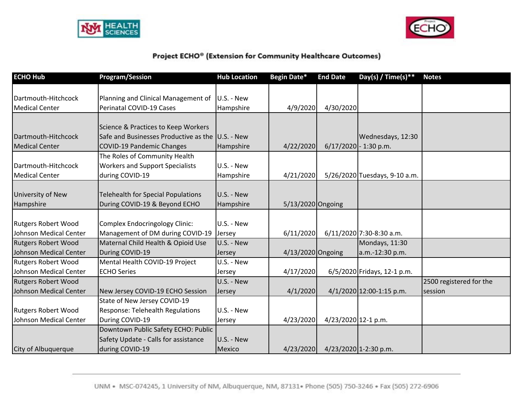



| <b>ECHO Hub</b>               | <b>Program/Session</b>                           | <b>Hub Location</b> | Begin Date*         | <b>End Date</b>     | Day(s) / Time(s)**            | <b>Notes</b>            |
|-------------------------------|--------------------------------------------------|---------------------|---------------------|---------------------|-------------------------------|-------------------------|
|                               |                                                  |                     |                     |                     |                               |                         |
| Dartmouth-Hitchcock           | Planning and Clinical Management of              | U.S. - New          |                     |                     |                               |                         |
| <b>Medical Center</b>         | Perinatal COVID-19 Cases                         | Hampshire           | 4/9/2020            | 4/30/2020           |                               |                         |
|                               |                                                  |                     |                     |                     |                               |                         |
|                               | Science & Practices to Keep Workers              |                     |                     |                     |                               |                         |
| Dartmouth-Hitchcock           | Safe and Businesses Productive as the U.S. - New |                     |                     |                     | Wednesdays, 12:30             |                         |
| <b>Medical Center</b>         | <b>COVID-19 Pandemic Changes</b>                 | Hampshire           | 4/22/2020           |                     | $6/17/2020$ - 1:30 p.m.       |                         |
|                               | The Roles of Community Health                    |                     |                     |                     |                               |                         |
| Dartmouth-Hitchcock           | <b>Workers and Support Specialists</b>           | U.S. - New          |                     |                     |                               |                         |
| <b>Medical Center</b>         | during COVID-19                                  | Hampshire           | 4/21/2020           |                     | 5/26/2020 Tuesdays, 9-10 a.m. |                         |
|                               |                                                  |                     |                     |                     |                               |                         |
| University of New             | <b>Telehealth for Special Populations</b>        | U.S. - New          |                     |                     |                               |                         |
| Hampshire                     | During COVID-19 & Beyond ECHO                    | Hampshire           | $5/13/2020$ Ongoing |                     |                               |                         |
|                               |                                                  |                     |                     |                     |                               |                         |
| <b>Rutgers Robert Wood</b>    | Complex Endocringology Clinic:                   | U.S. - New          |                     |                     |                               |                         |
| Johnson Medical Center        | Management of DM during COVID-19                 | Jersey              | 6/11/2020           |                     | 6/11/2020 7:30-8:30 a.m.      |                         |
| <b>Rutgers Robert Wood</b>    | Maternal Child Health & Opioid Use               | U.S. - New          |                     |                     | Mondays, 11:30                |                         |
| <b>Johnson Medical Center</b> | During COVID-19                                  | Jersey              | 4/13/2020 Ongoing   |                     | a.m.-12:30 p.m.               |                         |
| <b>Rutgers Robert Wood</b>    | Mental Health COVID-19 Project                   | U.S. - New          |                     |                     |                               |                         |
| Johnson Medical Center        | <b>ECHO Series</b>                               | Jersey              | 4/17/2020           |                     | 6/5/2020 Fridays, 12-1 p.m.   |                         |
| <b>Rutgers Robert Wood</b>    |                                                  | U.S. - New          |                     |                     |                               | 2500 registered for the |
| Johnson Medical Center        | New Jersey COVID-19 ECHO Session                 | <b>Jersey</b>       | 4/1/2020            |                     | $4/1/2020$ 12:00-1:15 p.m.    | session                 |
|                               | State of New Jersey COVID-19                     |                     |                     |                     |                               |                         |
| <b>Rutgers Robert Wood</b>    | Response: Telehealth Regulations                 | U.S. - New          |                     |                     |                               |                         |
| Johnson Medical Center        | During COVID-19                                  | Jersey              | 4/23/2020           | 4/23/2020 12-1 p.m. |                               |                         |
|                               | Downtown Public Safety ECHO: Public              |                     |                     |                     |                               |                         |
|                               | Safety Update - Calls for assistance             | U.S. - New          |                     |                     |                               |                         |
| City of Albuquerque           | during COVID-19                                  | <b>Mexico</b>       | 4/23/2020           |                     | 4/23/2020 1-2:30 p.m.         |                         |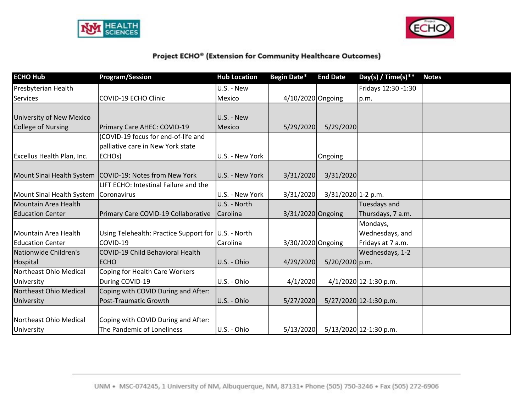



| <b>ECHO Hub</b>                         | <b>Program/Session</b>                                    | <b>Hub Location</b> | Begin Date*       | <b>End Date</b>    | Day(s) / Time(s) **      | <b>Notes</b> |
|-----------------------------------------|-----------------------------------------------------------|---------------------|-------------------|--------------------|--------------------------|--------------|
| Presbyterian Health                     |                                                           | U.S. - New          |                   |                    | Fridays 12:30 -1:30      |              |
| <b>Services</b>                         | COVID-19 ECHO Clinic                                      | Mexico              | 4/10/2020 Ongoing |                    | p.m.                     |              |
|                                         |                                                           |                     |                   |                    |                          |              |
| <b>University of New Mexico</b>         |                                                           | U.S. - New          |                   |                    |                          |              |
| <b>College of Nursing</b>               | Primary Care AHEC: COVID-19                               | Mexico              | 5/29/2020         | 5/29/2020          |                          |              |
|                                         | (COVID-19 focus for end-of-life and                       |                     |                   |                    |                          |              |
|                                         | palliative care in New York state                         |                     |                   |                    |                          |              |
| Excellus Health Plan, Inc.              | ECHO <sub>s</sub> )                                       | U.S. - New York     |                   | Ongoing            |                          |              |
|                                         |                                                           |                     |                   |                    |                          |              |
|                                         | Mount Sinai Health System   COVID-19: Notes from New York | U.S. - New York     | 3/31/2020         | 3/31/2020          |                          |              |
|                                         | LIFT ECHO: Intestinal Failure and the                     |                     |                   |                    |                          |              |
| Mount Sinai Health System   Coronavirus |                                                           | U.S. - New York     | 3/31/2020         | 3/31/2020 1-2 p.m. |                          |              |
| Mountain Area Health                    |                                                           | U.S. - North        |                   |                    | Tuesdays and             |              |
| <b>Education Center</b>                 | Primary Care COVID-19 Collaborative                       | Carolina            | 3/31/2020 Ongoing |                    | Thursdays, 7 a.m.        |              |
|                                         |                                                           |                     |                   |                    | Mondays,                 |              |
| Mountain Area Health                    | Using Telehealth: Practice Support for U.S. - North       |                     |                   |                    | Wednesdays, and          |              |
| <b>Education Center</b>                 | COVID-19                                                  | Carolina            | 3/30/2020 Ongoing |                    | Fridays at 7 a.m.        |              |
| Nationwide Children's                   | COVID-19 Child Behavioral Health                          |                     |                   |                    | Wednesdays, 1-2          |              |
| Hospital                                | <b>ECHO</b>                                               | U.S. - Ohio         | 4/29/2020         | $5/20/2020$ p.m.   |                          |              |
| Northeast Ohio Medical                  | Coping for Health Care Workers                            |                     |                   |                    |                          |              |
| University                              | During COVID-19                                           | U.S. - Ohio         | 4/1/2020          |                    | $4/1/2020$ 12-1:30 p.m.  |              |
| Northeast Ohio Medical                  | Coping with COVID During and After:                       |                     |                   |                    |                          |              |
| University                              | Post-Traumatic Growth                                     | U.S. - Ohio         | 5/27/2020         |                    | $5/27/2020$ 12-1:30 p.m. |              |
|                                         |                                                           |                     |                   |                    |                          |              |
| Northeast Ohio Medical                  | Coping with COVID During and After:                       |                     |                   |                    |                          |              |
| University                              | The Pandemic of Loneliness                                | U.S. - Ohio         | 5/13/2020         |                    | 5/13/2020 12-1:30 p.m.   |              |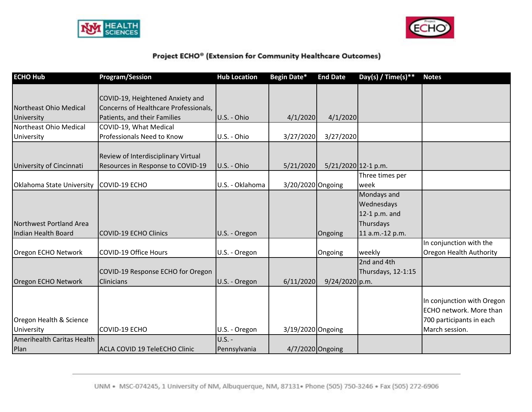



| <b>ECHO Hub</b>                  | <b>Program/Session</b>                | <b>Hub Location</b> | Begin Date*       | <b>End Date</b>     | Day(s) / Time(s)** | <b>Notes</b>                   |
|----------------------------------|---------------------------------------|---------------------|-------------------|---------------------|--------------------|--------------------------------|
|                                  |                                       |                     |                   |                     |                    |                                |
|                                  | COVID-19, Heightened Anxiety and      |                     |                   |                     |                    |                                |
| Northeast Ohio Medical           | Concerns of Healthcare Professionals, |                     |                   |                     |                    |                                |
| University                       | Patients, and their Families          | U.S. - Ohio         | 4/1/2020          | 4/1/2020            |                    |                                |
| Northeast Ohio Medical           | COVID-19, What Medical                |                     |                   |                     |                    |                                |
| University                       | Professionals Need to Know            | U.S. - Ohio         | 3/27/2020         | 3/27/2020           |                    |                                |
|                                  |                                       |                     |                   |                     |                    |                                |
|                                  | Review of Interdisciplinary Virtual   |                     |                   |                     |                    |                                |
| University of Cincinnati         | Resources in Response to COVID-19     | U.S. - Ohio         | 5/21/2020         | 5/21/2020 12-1 p.m. |                    |                                |
|                                  |                                       |                     |                   |                     | Three times per    |                                |
| <b>Oklahoma State University</b> | COVID-19 ECHO                         | U.S. - Oklahoma     | 3/20/2020 Ongoing |                     | week               |                                |
|                                  |                                       |                     |                   |                     | Mondays and        |                                |
|                                  |                                       |                     |                   |                     | Wednesdays         |                                |
|                                  |                                       |                     |                   |                     | 12-1 p.m. and      |                                |
| Northwest Portland Area          |                                       |                     |                   |                     | Thursdays          |                                |
| Indian Health Board              | <b>COVID-19 ECHO Clinics</b>          | U.S. - Oregon       |                   | Ongoing             | 11 a.m.-12 p.m.    |                                |
|                                  |                                       |                     |                   |                     |                    | In conjunction with the        |
| Oregon ECHO Network              | <b>COVID-19 Office Hours</b>          | U.S. - Oregon       |                   | Ongoing             | weekly             | <b>Oregon Health Authority</b> |
|                                  |                                       |                     |                   |                     | 2nd and 4th        |                                |
|                                  | COVID-19 Response ECHO for Oregon     |                     |                   |                     | Thursdays, 12-1:15 |                                |
| Oregon ECHO Network              | <b>Clinicians</b>                     | U.S. - Oregon       | 6/11/2020         | $9/24/2020$ p.m.    |                    |                                |
|                                  |                                       |                     |                   |                     |                    |                                |
|                                  |                                       |                     |                   |                     |                    | In conjunction with Oregon     |
|                                  |                                       |                     |                   |                     |                    | ECHO network. More than        |
| Oregon Health & Science          |                                       |                     |                   |                     |                    | 700 participants in each       |
| University                       | COVID-19 ECHO                         | U.S. - Oregon       | 3/19/2020 Ongoing |                     |                    | March session.                 |
| Amerihealth Caritas Health       |                                       | <b>U.S. -</b>       |                   |                     |                    |                                |
| Plan                             | ACLA COVID 19 TeleECHO Clinic         | Pennsylvania        | 4/7/2020 Ongoing  |                     |                    |                                |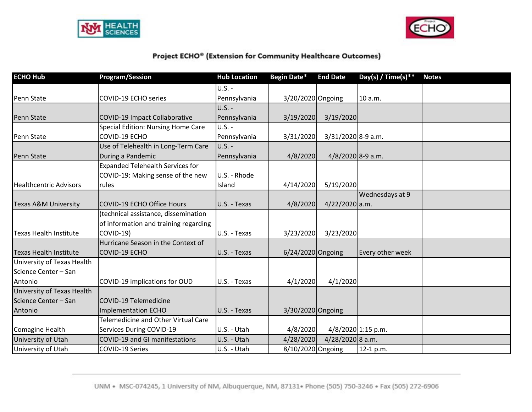



| <b>ECHO Hub</b>                 | <b>Program/Session</b>                  | <b>Hub Location</b> | <b>Begin Date*</b>  | <b>End Date</b>    | Day(s) / Time(s) ** | <b>Notes</b> |
|---------------------------------|-----------------------------------------|---------------------|---------------------|--------------------|---------------------|--------------|
|                                 |                                         | $U.S. -$            |                     |                    |                     |              |
| Penn State                      | COVID-19 ECHO series                    | Pennsylvania        | 3/20/2020 Ongoing   |                    | 10 a.m.             |              |
|                                 |                                         | $U.S. -$            |                     |                    |                     |              |
| Penn State                      | <b>COVID-19 Impact Collaborative</b>    | Pennsylvania        | 3/19/2020           | 3/19/2020          |                     |              |
|                                 | Special Edition: Nursing Home Care      | $U.S. -$            |                     |                    |                     |              |
| Penn State                      | COVID-19 ECHO                           | Pennsylvania        | 3/31/2020           | 3/31/2020 8-9 a.m. |                     |              |
|                                 | Use of Telehealth in Long-Term Care     | <b>U.S. -</b>       |                     |                    |                     |              |
| Penn State                      | During a Pandemic                       | Pennsylvania        | 4/8/2020            | 4/8/2020 8-9 a.m.  |                     |              |
|                                 | <b>Expanded Telehealth Services for</b> |                     |                     |                    |                     |              |
|                                 | COVID-19: Making sense of the new       | U.S. - Rhode        |                     |                    |                     |              |
| <b>Healthcentric Advisors</b>   | rules                                   | Island              | 4/14/2020           | 5/19/2020          |                     |              |
|                                 |                                         |                     |                     |                    | Wednesdays at 9     |              |
| <b>Texas A&amp;M University</b> | <b>COVID-19 ECHO Office Hours</b>       | U.S. - Texas        | 4/8/2020            | 4/22/2020 a.m.     |                     |              |
|                                 | (technical assistance, dissemination    |                     |                     |                    |                     |              |
|                                 | of information and training regarding   |                     |                     |                    |                     |              |
| <b>Texas Health Institute</b>   | <b>COVID-19)</b>                        | U.S. - Texas        | 3/23/2020           | 3/23/2020          |                     |              |
|                                 | Hurricane Season in the Context of      |                     |                     |                    |                     |              |
| <b>Texas Health Institute</b>   | COVID-19 ECHO                           | U.S. - Texas        | $6/24/2020$ Ongoing |                    | Every other week    |              |
| University of Texas Health      |                                         |                     |                     |                    |                     |              |
| Science Center - San            |                                         |                     |                     |                    |                     |              |
| Antonio                         | COVID-19 implications for OUD           | U.S. - Texas        | 4/1/2020            | 4/1/2020           |                     |              |
| University of Texas Health      |                                         |                     |                     |                    |                     |              |
| Science Center - San            | COVID-19 Telemedicine                   |                     |                     |                    |                     |              |
| Antonio                         | Implementation ECHO                     | U.S. - Texas        | 3/30/2020 Ongoing   |                    |                     |              |
|                                 | Telemedicine and Other Virtual Care     |                     |                     |                    |                     |              |
| Comagine Health                 | <b>Services During COVID-19</b>         | U.S. - Utah         | 4/8/2020            |                    | 4/8/2020 1:15 p.m.  |              |
| University of Utah              | COVID-19 and GI manifestations          | U.S. - Utah         | 4/28/2020           | 4/28/2020 8 a.m.   |                     |              |
| University of Utah              | COVID-19 Series                         | U.S. - Utah         | 8/10/2020 Ongoing   |                    | 12-1 p.m.           |              |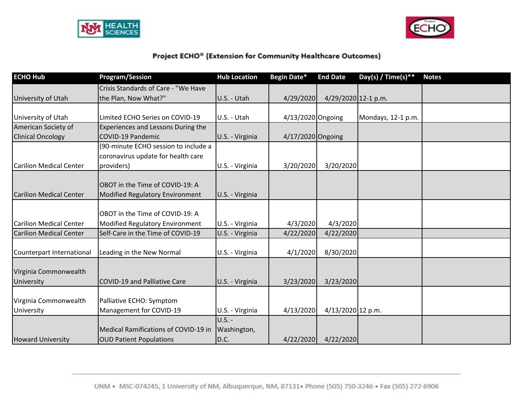



| <b>ECHO Hub</b>                | <b>Program/Session</b>                 | <b>Hub Location</b> | Begin Date*         | <b>End Date</b>     | Day(s) / Time(s)** | <b>Notes</b> |
|--------------------------------|----------------------------------------|---------------------|---------------------|---------------------|--------------------|--------------|
|                                | Crisis Standards of Care - "We Have    |                     |                     |                     |                    |              |
| University of Utah             | the Plan, Now What?"                   | U.S. - Utah         | 4/29/2020           | 4/29/2020 12-1 p.m. |                    |              |
|                                |                                        |                     |                     |                     |                    |              |
| University of Utah             | Limited ECHO Series on COVID-19        | U.S. - Utah         | 4/13/2020 Ongoing   |                     | Mondays, 12-1 p.m. |              |
| American Society of            | Experiences and Lessons During the     |                     |                     |                     |                    |              |
| <b>Clinical Oncology</b>       | <b>COVID-19 Pandemic</b>               | U.S. - Virginia     | $4/17/2020$ Ongoing |                     |                    |              |
|                                | (90-minute ECHO session to include a   |                     |                     |                     |                    |              |
|                                | coronavirus update for health care     |                     |                     |                     |                    |              |
| <b>Carilion Medical Center</b> | providers)                             | U.S. - Virginia     | 3/20/2020           | 3/20/2020           |                    |              |
|                                |                                        |                     |                     |                     |                    |              |
|                                | OBOT in the Time of COVID-19: A        |                     |                     |                     |                    |              |
| <b>Carilion Medical Center</b> | <b>Modified Regulatory Environment</b> | U.S. - Virginia     |                     |                     |                    |              |
|                                |                                        |                     |                     |                     |                    |              |
|                                | OBOT in the Time of COVID-19: A        |                     |                     |                     |                    |              |
| Carilion Medical Center        | Modified Regulatory Environment        | U.S. - Virginia     | 4/3/2020            | 4/3/2020            |                    |              |
| <b>Carilion Medical Center</b> | Self-Care in the Time of COVID-19      | U.S. - Virginia     | 4/22/2020           | 4/22/2020           |                    |              |
|                                |                                        |                     |                     |                     |                    |              |
| Counterpart International      | Leading in the New Normal              | U.S. - Virginia     | 4/1/2020            | 8/30/2020           |                    |              |
|                                |                                        |                     |                     |                     |                    |              |
| Virginia Commonwealth          |                                        |                     |                     |                     |                    |              |
| University                     | <b>COVID-19 and Palliative Care</b>    | U.S. - Virginia     | 3/23/2020           | 3/23/2020           |                    |              |
|                                |                                        |                     |                     |                     |                    |              |
| Virginia Commonwealth          | Palliative ECHO: Symptom               |                     |                     |                     |                    |              |
| University                     | Management for COVID-19                | U.S. - Virginia     | 4/13/2020           | 4/13/2020 12 p.m.   |                    |              |
|                                |                                        | <b>U.S. -</b>       |                     |                     |                    |              |
|                                | Medical Ramifications of COVID-19 in   | Washington,         |                     |                     |                    |              |
| <b>Howard University</b>       | <b>OUD Patient Populations</b>         | D.C.                | 4/22/2020           | 4/22/2020           |                    |              |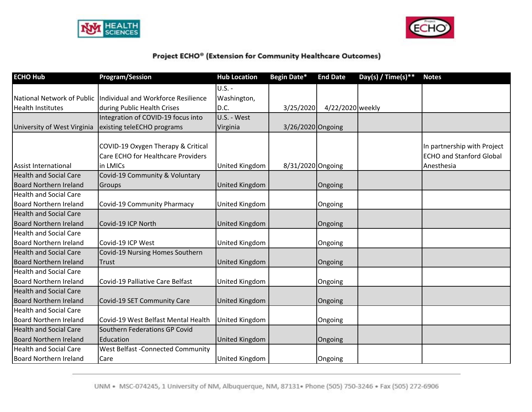



| <b>ECHO Hub</b>               | <b>Program/Session</b>                                                               | <b>Hub Location</b>   | Begin Date*       | <b>End Date</b>  | Day(s) / Time(s)** | <b>Notes</b>                                                                 |
|-------------------------------|--------------------------------------------------------------------------------------|-----------------------|-------------------|------------------|--------------------|------------------------------------------------------------------------------|
|                               |                                                                                      | $U.S. -$              |                   |                  |                    |                                                                              |
| National Network of Public    | Individual and Workforce Resilience                                                  | Washington,           |                   |                  |                    |                                                                              |
| <b>Health Institutes</b>      | during Public Health Crises                                                          | D.C.                  | 3/25/2020         | 4/22/2020 weekly |                    |                                                                              |
|                               | Integration of COVID-19 focus into                                                   | U.S. - West           |                   |                  |                    |                                                                              |
| University of West Virginia   | existing teleECHO programs                                                           | Virginia              | 3/26/2020 Ongoing |                  |                    |                                                                              |
| <b>Assist International</b>   | COVID-19 Oxygen Therapy & Critical<br>Care ECHO for Healthcare Providers<br>in LMICs | United Kingdom        | 8/31/2020 Ongoing |                  |                    | In partnership with Project<br><b>ECHO and Stanford Global</b><br>Anesthesia |
| <b>Health and Social Care</b> | Covid-19 Community & Voluntary                                                       |                       |                   |                  |                    |                                                                              |
| <b>Board Northern Ireland</b> | Groups                                                                               | <b>United Kingdom</b> |                   | Ongoing          |                    |                                                                              |
| <b>Health and Social Care</b> |                                                                                      |                       |                   |                  |                    |                                                                              |
| <b>Board Northern Ireland</b> | Covid-19 Community Pharmacy                                                          | United Kingdom        |                   | Ongoing          |                    |                                                                              |
| <b>Health and Social Care</b> |                                                                                      |                       |                   |                  |                    |                                                                              |
| <b>Board Northern Ireland</b> | Covid-19 ICP North                                                                   | United Kingdom        |                   | Ongoing          |                    |                                                                              |
| <b>Health and Social Care</b> |                                                                                      |                       |                   |                  |                    |                                                                              |
| <b>Board Northern Ireland</b> | Covid-19 ICP West                                                                    | United Kingdom        |                   | Ongoing          |                    |                                                                              |
| <b>Health and Social Care</b> | Covid-19 Nursing Homes Southern                                                      |                       |                   |                  |                    |                                                                              |
| <b>Board Northern Ireland</b> | Trust                                                                                | <b>United Kingdom</b> |                   | Ongoing          |                    |                                                                              |
| <b>Health and Social Care</b> |                                                                                      |                       |                   |                  |                    |                                                                              |
| <b>Board Northern Ireland</b> | Covid-19 Palliative Care Belfast                                                     | United Kingdom        |                   | Ongoing          |                    |                                                                              |
| <b>Health and Social Care</b> |                                                                                      |                       |                   |                  |                    |                                                                              |
| <b>Board Northern Ireland</b> | Covid-19 SET Community Care                                                          | United Kingdom        |                   | Ongoing          |                    |                                                                              |
| <b>Health and Social Care</b> |                                                                                      |                       |                   |                  |                    |                                                                              |
| <b>Board Northern Ireland</b> | Covid-19 West Belfast Mental Health                                                  | United Kingdom        |                   | Ongoing          |                    |                                                                              |
| <b>Health and Social Care</b> | Southern Federations GP Covid                                                        |                       |                   |                  |                    |                                                                              |
| <b>Board Northern Ireland</b> | Education                                                                            | <b>United Kingdom</b> |                   | Ongoing          |                    |                                                                              |
| <b>Health and Social Care</b> | West Belfast - Connected Community                                                   |                       |                   |                  |                    |                                                                              |
| <b>Board Northern Ireland</b> | Care                                                                                 | United Kingdom        |                   | Ongoing          |                    |                                                                              |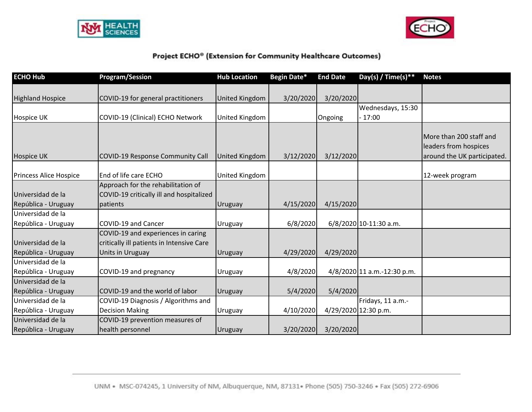



| <b>ECHO Hub</b>                          | <b>Program/Session</b>                                                                              | <b>Hub Location</b>   | Begin Date* | <b>End Date</b> | Day(s) / Time(s)**          | <b>Notes</b>                                                                    |
|------------------------------------------|-----------------------------------------------------------------------------------------------------|-----------------------|-------------|-----------------|-----------------------------|---------------------------------------------------------------------------------|
| <b>Highland Hospice</b>                  | COVID-19 for general practitioners                                                                  | United Kingdom        | 3/20/2020   | 3/20/2020       |                             |                                                                                 |
|                                          |                                                                                                     |                       |             |                 | Wednesdays, 15:30           |                                                                                 |
| Hospice UK                               | COVID-19 (Clinical) ECHO Network                                                                    | United Kingdom        |             | Ongoing         | 17:00                       |                                                                                 |
| <b>Hospice UK</b>                        | COVID-19 Response Community Call                                                                    | <b>United Kingdom</b> | 3/12/2020   | 3/12/2020       |                             | More than 200 staff and<br>leaders from hospices<br>around the UK participated. |
| Princess Alice Hospice                   | End of life care ECHO                                                                               | United Kingdom        |             |                 |                             | 12-week program                                                                 |
|                                          | Approach for the rehabilitation of                                                                  |                       |             |                 |                             |                                                                                 |
| Universidad de la                        | COVID-19 critically ill and hospitalized                                                            |                       |             |                 |                             |                                                                                 |
| República - Uruguay                      | patients                                                                                            | <b>Uruguay</b>        | 4/15/2020   | 4/15/2020       |                             |                                                                                 |
| Universidad de la                        |                                                                                                     |                       |             |                 |                             |                                                                                 |
| República - Uruguay                      | COVID-19 and Cancer                                                                                 | Uruguay               | 6/8/2020    |                 | 6/8/2020 10-11:30 a.m.      |                                                                                 |
| Universidad de la<br>República - Uruguay | COVID-19 and experiences in caring<br>critically ill patients in Intensive Care<br>Units in Uruguay | <b>Uruguay</b>        | 4/29/2020   | 4/29/2020       |                             |                                                                                 |
| Universidad de la                        |                                                                                                     |                       |             |                 |                             |                                                                                 |
| República - Uruguay                      | COVID-19 and pregnancy                                                                              | Uruguay               | 4/8/2020    |                 | 4/8/2020 11 a.m.-12:30 p.m. |                                                                                 |
| Universidad de la                        |                                                                                                     |                       |             |                 |                             |                                                                                 |
| República - Uruguay                      | COVID-19 and the world of labor                                                                     | <b>Uruguay</b>        | 5/4/2020    | 5/4/2020        |                             |                                                                                 |
| Universidad de la                        | COVID-19 Diagnosis / Algorithms and                                                                 |                       |             |                 | Fridays, 11 a.m.-           |                                                                                 |
| República - Uruguay                      | <b>Decision Making</b>                                                                              | <b>Uruguay</b>        | 4/10/2020   |                 | 4/29/2020 12:30 p.m.        |                                                                                 |
| Universidad de la<br>República - Uruguay | COVID-19 prevention measures of<br>health personnel                                                 | <b>Uruguay</b>        | 3/20/2020   | 3/20/2020       |                             |                                                                                 |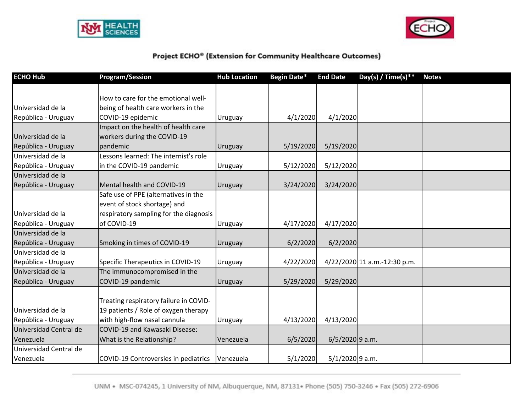



| <b>ECHO Hub</b>        | <b>Program/Session</b>                 | <b>Hub Location</b> | Begin Date* | <b>End Date</b>   | Day(s) / Time(s) **          | <b>Notes</b> |
|------------------------|----------------------------------------|---------------------|-------------|-------------------|------------------------------|--------------|
|                        |                                        |                     |             |                   |                              |              |
|                        | How to care for the emotional well-    |                     |             |                   |                              |              |
| Universidad de la      | being of health care workers in the    |                     |             |                   |                              |              |
| República - Uruguay    | COVID-19 epidemic                      | Uruguay             | 4/1/2020    | 4/1/2020          |                              |              |
|                        | Impact on the health of health care    |                     |             |                   |                              |              |
| Universidad de la      | workers during the COVID-19            |                     |             |                   |                              |              |
| República - Uruguay    | pandemic                               | Uruguay             | 5/19/2020   | 5/19/2020         |                              |              |
| Universidad de la      | Lessons learned: The internist's role  |                     |             |                   |                              |              |
| República - Uruguay    | in the COVID-19 pandemic               | Uruguay             | 5/12/2020   | 5/12/2020         |                              |              |
| Universidad de la      |                                        |                     |             |                   |                              |              |
| República - Uruguay    | Mental health and COVID-19             | Uruguay             | 3/24/2020   | 3/24/2020         |                              |              |
|                        | Safe use of PPE (alternatives in the   |                     |             |                   |                              |              |
|                        | event of stock shortage) and           |                     |             |                   |                              |              |
| Universidad de la      | respiratory sampling for the diagnosis |                     |             |                   |                              |              |
| República - Uruguay    | of COVID-19                            | <b>Uruguay</b>      | 4/17/2020   | 4/17/2020         |                              |              |
| Universidad de la      |                                        |                     |             |                   |                              |              |
| República - Uruguay    | Smoking in times of COVID-19           | Uruguay             | 6/2/2020    | 6/2/2020          |                              |              |
| Universidad de la      |                                        |                     |             |                   |                              |              |
| República - Uruguay    | Specific Therapeutics in COVID-19      | <b>Uruguay</b>      | 4/22/2020   |                   | 4/22/2020 11 a.m.-12:30 p.m. |              |
| Universidad de la      | The immunocompromised in the           |                     |             |                   |                              |              |
| República - Uruguay    | COVID-19 pandemic                      | Uruguay             | 5/29/2020   | 5/29/2020         |                              |              |
|                        |                                        |                     |             |                   |                              |              |
|                        | Treating respiratory failure in COVID- |                     |             |                   |                              |              |
| Universidad de la      | 19 patients / Role of oxygen therapy   |                     |             |                   |                              |              |
| República - Uruguay    | with high-flow nasal cannula           | Uruguay             | 4/13/2020   | 4/13/2020         |                              |              |
| Universidad Central de | COVID-19 and Kawasaki Disease:         |                     |             |                   |                              |              |
| Venezuela              | What is the Relationship?              | Venezuela           | 6/5/2020    | $6/5/2020$ 9 a.m. |                              |              |
| Universidad Central de |                                        |                     |             |                   |                              |              |
| Venezuela              | COVID-19 Controversies in pediatrics   | Venezuela           | 5/1/2020    | $5/1/2020$ 9 a.m. |                              |              |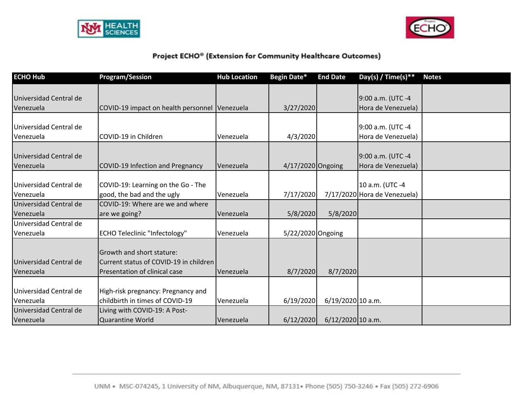



| <b>ECHO Hub</b>                     | <b>Program/Session</b>                                                                               | <b>Hub Location</b> | Begin Date*       | <b>End Date</b>     | Day(s) / Time(s) **                             | <b>Notes</b> |
|-------------------------------------|------------------------------------------------------------------------------------------------------|---------------------|-------------------|---------------------|-------------------------------------------------|--------------|
| Universidad Central de<br>Venezuela | COVID-19 impact on health personnel Venezuela                                                        |                     | 3/27/2020         |                     | 9:00 a.m. (UTC -4<br>Hora de Venezuela)         |              |
| Universidad Central de<br>Venezuela | COVID-19 in Children                                                                                 | Venezuela           | 4/3/2020          |                     | 9:00 a.m. (UTC -4<br>Hora de Venezuela)         |              |
| Universidad Central de<br>Venezuela | COVID-19 Infection and Pregnancy                                                                     | Venezuela           | 4/17/2020 Ongoing |                     | 9:00 a.m. (UTC -4<br>Hora de Venezuela)         |              |
| Universidad Central de<br>Venezuela | COVID-19: Learning on the Go - The<br>good, the bad and the ugly                                     | Venezuela           | 7/17/2020         |                     | 10 a.m. (UTC -4<br>7/17/2020 Hora de Venezuela) |              |
| Universidad Central de<br>Venezuela | COVID-19: Where are we and where<br>are we going?                                                    | Venezuela           | 5/8/2020          | 5/8/2020            |                                                 |              |
| Universidad Central de<br>Venezuela | <b>ECHO Teleclinic "Infectology"</b>                                                                 | Venezuela           | 5/22/2020 Ongoing |                     |                                                 |              |
| Universidad Central de<br>Venezuela | Growth and short stature:<br>Current status of COVID-19 in children<br>Presentation of clinical case | Venezuela           | 8/7/2020          | 8/7/2020            |                                                 |              |
| Universidad Central de<br>Venezuela | High-risk pregnancy: Pregnancy and<br>childbirth in times of COVID-19                                | Venezuela           | 6/19/2020         | $6/19/2020$ 10 a.m. |                                                 |              |
| Universidad Central de<br>Venezuela | Living with COVID-19: A Post-<br><b>Quarantine World</b>                                             | Venezuela           | 6/12/2020         | 6/12/2020 10 a.m.   |                                                 |              |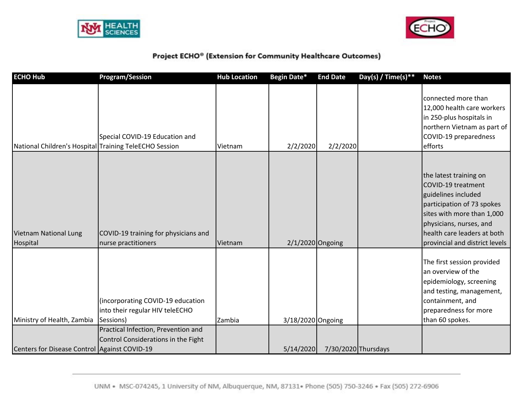



| <b>ECHO Hub</b>                                        | <b>Program/Session</b>                                                            | <b>Hub Location</b> | Begin Date*        | <b>End Date</b> | Day(s) / Time(s) ** | <b>Notes</b>                                                                                                                                                                                                                |
|--------------------------------------------------------|-----------------------------------------------------------------------------------|---------------------|--------------------|-----------------|---------------------|-----------------------------------------------------------------------------------------------------------------------------------------------------------------------------------------------------------------------------|
| National Children's Hospital Training TeleECHO Session | Special COVID-19 Education and                                                    | Vietnam             | 2/2/2020           | 2/2/2020        |                     | connected more than<br>12,000 health care workers<br>in 250-plus hospitals in<br>northern Vietnam as part of<br>COVID-19 preparedness<br>efforts                                                                            |
| <b>Vietnam National Lung</b><br>Hospital               | COVID-19 training for physicians and<br>nurse practitioners                       | Vietnam             | $2/1/2020$ Ongoing |                 |                     | the latest training on<br>COVID-19 treatment<br>guidelines included<br>participation of 73 spokes<br>sites with more than 1,000<br>physicians, nurses, and<br>health care leaders at both<br>provincial and district levels |
| Ministry of Health, Zambia                             | (incorporating COVID-19 education<br>into their regular HIV teleECHO<br>Sessions) | Zambia              | 3/18/2020 Ongoing  |                 |                     | The first session provided<br>an overview of the<br>epidemiology, screening<br>and testing, management,<br>containment, and<br>preparedness for more<br>than 60 spokes.                                                     |
| Centers for Disease Control Against COVID-19           | Practical Infection, Prevention and<br>Control Considerations in the Fight        |                     | 5/14/2020          |                 | 7/30/2020 Thursdays |                                                                                                                                                                                                                             |